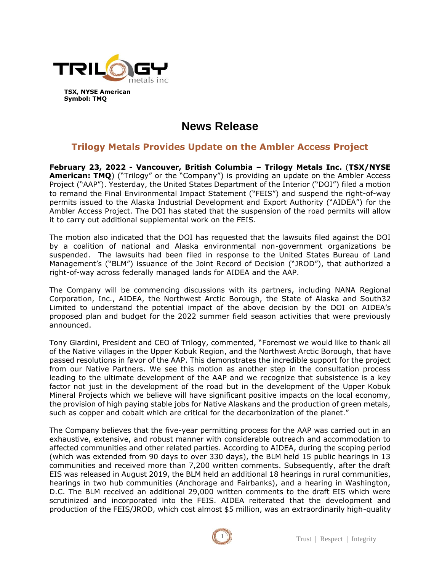

**TSX, NYSE American Symbol: TMQ**

# **News Release**

# **Trilogy Metals Provides Update on the Ambler Access Project**

**February 23, 2022 - Vancouver, British Columbia – Trilogy Metals Inc.** (**TSX/NYSE American: TMQ**) ("Trilogy" or the "Company") is providing an update on the Ambler Access Project ("AAP"). Yesterday, the United States Department of the Interior ("DOI") filed a motion to remand the Final Environmental Impact Statement ("FEIS") and suspend the right-of-way permits issued to the Alaska Industrial Development and Export Authority ("AIDEA") for the Ambler Access Project. The DOI has stated that the suspension of the road permits will allow it to carry out additional supplemental work on the FEIS.

The motion also indicated that the DOI has requested that the lawsuits filed against the DOI by a coalition of national and Alaska environmental non-government organizations be suspended. The lawsuits had been filed in response to the United States Bureau of Land Management's ("BLM") issuance of the Joint Record of Decision ("JROD"), that authorized a right-of-way across federally managed lands for AIDEA and the AAP.

The Company will be commencing discussions with its partners, including NANA Regional Corporation, Inc., AIDEA, the Northwest Arctic Borough, the State of Alaska and South32 Limited to understand the potential impact of the above decision by the DOI on AIDEA's proposed plan and budget for the 2022 summer field season activities that were previously announced.

Tony Giardini, President and CEO of Trilogy, commented, "Foremost we would like to thank all of the Native villages in the Upper Kobuk Region, and the Northwest Arctic Borough, that have passed resolutions in favor of the AAP. This demonstrates the incredible support for the project from our Native Partners. We see this motion as another step in the consultation process leading to the ultimate development of the AAP and we recognize that subsistence is a key factor not just in the development of the road but in the development of the Upper Kobuk Mineral Projects which we believe will have significant positive impacts on the local economy, the provision of high paying stable jobs for Native Alaskans and the production of green metals, such as copper and cobalt which are critical for the decarbonization of the planet."

The Company believes that the five-year permitting process for the AAP was carried out in an exhaustive, extensive, and robust manner with considerable outreach and accommodation to affected communities and other related parties. According to AIDEA, during the scoping period (which was extended from 90 days to over 330 days), the BLM held 15 public hearings in 13 communities and received more than 7,200 written comments. Subsequently, after the draft EIS was released in August 2019, the BLM held an additional 18 hearings in rural communities, hearings in two hub communities (Anchorage and Fairbanks), and a hearing in Washington, D.C. The BLM received an additional 29,000 written comments to the draft EIS which were scrutinized and incorporated into the FEIS. AIDEA reiterated that the development and production of the FEIS/JROD, which cost almost \$5 million, was an extraordinarily high-quality

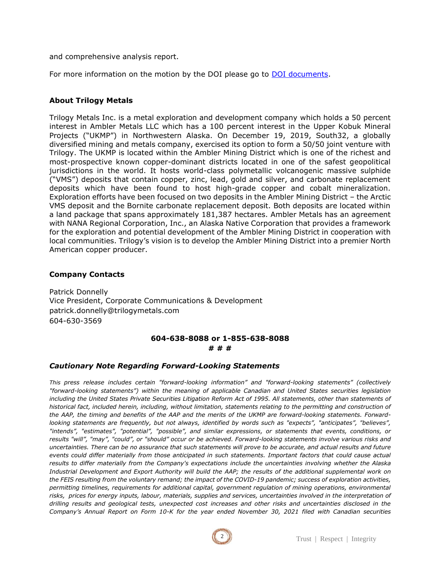and comprehensive analysis report.

For more information on the motion by the DOI please go to DOI [documents.](https://s3.documentcloud.org/documents/21272672/blm-request-for-remand-in-ambler-case-22222.pdf)

### **About Trilogy Metals**

Trilogy Metals Inc. is a metal exploration and development company which holds a 50 percent interest in Ambler Metals LLC which has a 100 percent interest in the Upper Kobuk Mineral Projects ("UKMP") in Northwestern Alaska. On December 19, 2019, South32, a globally diversified mining and metals company, exercised its option to form a 50/50 joint venture with Trilogy. The UKMP is located within the Ambler Mining District which is one of the richest and most-prospective known copper-dominant districts located in one of the safest geopolitical jurisdictions in the world. It hosts world-class polymetallic volcanogenic massive sulphide ("VMS") deposits that contain copper, zinc, lead, gold and silver, and carbonate replacement deposits which have been found to host high-grade copper and cobalt mineralization. Exploration efforts have been focused on two deposits in the Ambler Mining District – the Arctic VMS deposit and the Bornite carbonate replacement deposit. Both deposits are located within a land package that spans approximately 181,387 hectares. Ambler Metals has an agreement with NANA Regional Corporation, Inc., an Alaska Native Corporation that provides a framework for the exploration and potential development of the Ambler Mining District in cooperation with local communities. Trilogy's vision is to develop the Ambler Mining District into a premier North American copper producer.

## **Company Contacts**

Patrick Donnelly Vice President, Corporate Communications & Development patrick.donnelly@trilogymetals.com 604-630-3569

#### **604-638-8088 or 1-855-638-8088 # # #**

#### *Cautionary Note Regarding Forward-Looking Statements*

*This press release includes certain "forward-looking information" and "forward-looking statements" (collectively "forward-looking statements") within the meaning of applicable Canadian and United States securities legislation including the United States Private Securities Litigation Reform Act of 1995. All statements, other than statements of historical fact, included herein, including, without limitation, statements relating to the permitting and construction of the AAP, the timing and benefits of the AAP and the merits of the UKMP are forward-looking statements. Forwardlooking statements are frequently, but not always, identified by words such as "expects", "anticipates", "believes", "intends", "estimates", "potential", "possible", and similar expressions, or statements that events, conditions, or results "will", "may", "could", or "should" occur or be achieved. Forward-looking statements involve various risks and uncertainties. There can be no assurance that such statements will prove to be accurate, and actual results and future events could differ materially from those anticipated in such statements. Important factors that could cause actual results to differ materially from the Company's expectations include the uncertainties involving whether the Alaska Industrial Development and Export Authority will build the AAP; the results of the additional supplemental work on the FEIS resulting from the voluntary remand; the impact of the COVID-19 pandemic; success of exploration activities, permitting timelines, requirements for additional capital, government regulation of mining operations, environmental risks, prices for energy inputs, labour, materials, supplies and services, uncertainties involved in the interpretation of drilling results and geological tests, unexpected cost increases and other risks and uncertainties disclosed in the Company's Annual Report on Form 10-K for the year ended November 30, 2021 filed with Canadian securities*